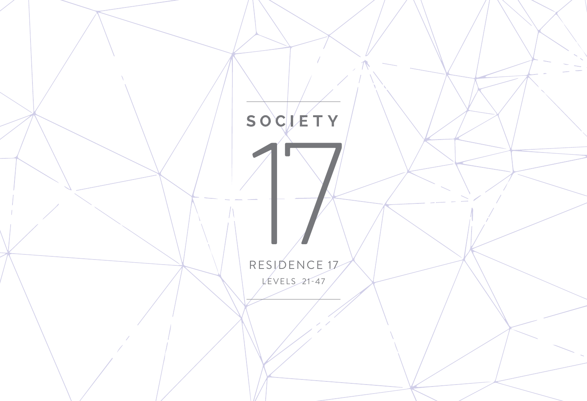